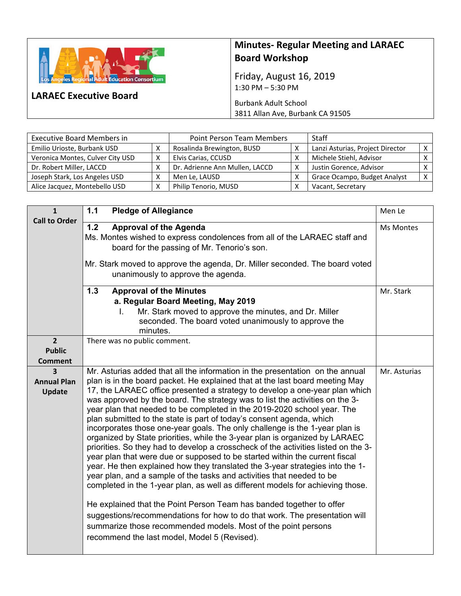

**LARAEC Executive Board** 

## **Minutes‐ Regular Meeting and LARAEC Board Workshop**

Friday, August 16, 2019 1:30 PM – 5:30 PM

Burbank Adult School 3811 Allan Ave, Burbank CA 91505

| <b>Executive Board Members in</b> |   | <b>Point Person Team Members</b> |   | <b>Staff</b>                     |  |
|-----------------------------------|---|----------------------------------|---|----------------------------------|--|
| Emilio Urioste, Burbank USD       |   | Rosalinda Brewington, BUSD       |   | Lanzi Asturias, Project Director |  |
| Veronica Montes, Culver City USD  | Χ | Elvis Carias, CCUSD              |   | Michele Stiehl, Advisor          |  |
| Dr. Robert Miller, LACCD          |   | Dr. Adrienne Ann Mullen, LACCD   | Χ | Justin Gorence, Advisor          |  |
| Joseph Stark, Los Angeles USD     |   | Men Le, LAUSD                    |   | Grace Ocampo, Budget Analyst     |  |
| Alice Jacquez, Montebello USD     |   | Philip Tenorio, MUSD             |   | Vacant, Secretary                |  |

| $\mathbf{1}$                                      | 1.1<br><b>Pledge of Allegiance</b>                                                                                                                                                                                                                                                                                                                                                                                                                                                                                                                                                                                                                                                                                                                                                                                                                                                                                                                                                                                                                                                                                                                                                                                                                                                                                                    | Men Le       |
|---------------------------------------------------|---------------------------------------------------------------------------------------------------------------------------------------------------------------------------------------------------------------------------------------------------------------------------------------------------------------------------------------------------------------------------------------------------------------------------------------------------------------------------------------------------------------------------------------------------------------------------------------------------------------------------------------------------------------------------------------------------------------------------------------------------------------------------------------------------------------------------------------------------------------------------------------------------------------------------------------------------------------------------------------------------------------------------------------------------------------------------------------------------------------------------------------------------------------------------------------------------------------------------------------------------------------------------------------------------------------------------------------|--------------|
| <b>Call to Order</b>                              | 1.2<br><b>Approval of the Agenda</b><br>Ms. Montes wished to express condolences from all of the LARAEC staff and<br>board for the passing of Mr. Tenorio's son.<br>Mr. Stark moved to approve the agenda, Dr. Miller seconded. The board voted<br>unanimously to approve the agenda.                                                                                                                                                                                                                                                                                                                                                                                                                                                                                                                                                                                                                                                                                                                                                                                                                                                                                                                                                                                                                                                 | Ms Montes    |
|                                                   | $1.3$<br><b>Approval of the Minutes</b><br>a. Regular Board Meeting, May 2019<br>Mr. Stark moved to approve the minutes, and Dr. Miller<br>L.<br>seconded. The board voted unanimously to approve the<br>minutes.                                                                                                                                                                                                                                                                                                                                                                                                                                                                                                                                                                                                                                                                                                                                                                                                                                                                                                                                                                                                                                                                                                                     | Mr. Stark    |
| $\overline{2}$<br><b>Public</b><br><b>Comment</b> | There was no public comment.                                                                                                                                                                                                                                                                                                                                                                                                                                                                                                                                                                                                                                                                                                                                                                                                                                                                                                                                                                                                                                                                                                                                                                                                                                                                                                          |              |
| 3<br><b>Annual Plan</b><br>Update                 | Mr. Asturias added that all the information in the presentation on the annual<br>plan is in the board packet. He explained that at the last board meeting May<br>17, the LARAEC office presented a strategy to develop a one-year plan which<br>was approved by the board. The strategy was to list the activities on the 3-<br>year plan that needed to be completed in the 2019-2020 school year. The<br>plan submitted to the state is part of today's consent agenda, which<br>incorporates those one-year goals. The only challenge is the 1-year plan is<br>organized by State priorities, while the 3-year plan is organized by LARAEC<br>priorities. So they had to develop a crosscheck of the activities listed on the 3-<br>year plan that were due or supposed to be started within the current fiscal<br>year. He then explained how they translated the 3-year strategies into the 1-<br>year plan, and a sample of the tasks and activities that needed to be<br>completed in the 1-year plan, as well as different models for achieving those.<br>He explained that the Point Person Team has banded together to offer<br>suggestions/recommendations for how to do that work. The presentation will<br>summarize those recommended models. Most of the point persons<br>recommend the last model, Model 5 (Revised). | Mr. Asturias |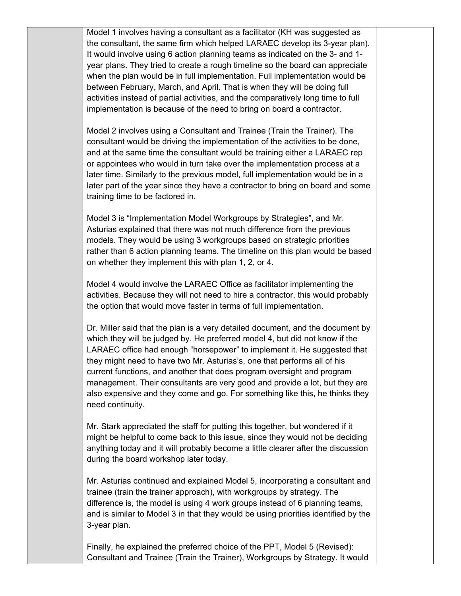Model 1 involves having a consultant as a facilitator (KH was suggested as the consultant, the same firm which helped LARAEC develop its 3-year plan). It would involve using 6 action planning teams as indicated on the 3- and 1 year plans. They tried to create a rough timeline so the board can appreciate when the plan would be in full implementation. Full implementation would be between February, March, and April. That is when they will be doing full activities instead of partial activities, and the comparatively long time to full implementation is because of the need to bring on board a contractor.

Model 2 involves using a Consultant and Trainee (Train the Trainer). The consultant would be driving the implementation of the activities to be done, and at the same time the consultant would be training either a LARAEC rep or appointees who would in turn take over the implementation process at a later time. Similarly to the previous model, full implementation would be in a later part of the year since they have a contractor to bring on board and some training time to be factored in.

Model 3 is "Implementation Model Workgroups by Strategies", and Mr. Asturias explained that there was not much difference from the previous models. They would be using 3 workgroups based on strategic priorities rather than 6 action planning teams. The timeline on this plan would be based on whether they implement this with plan 1, 2, or 4.

Model 4 would involve the LARAEC Office as facilitator implementing the activities. Because they will not need to hire a contractor, this would probably the option that would move faster in terms of full implementation.

Dr. Miller said that the plan is a very detailed document, and the document by which they will be judged by. He preferred model 4, but did not know if the LARAEC office had enough "horsepower" to implement it. He suggested that they might need to have two Mr. Asturias's, one that performs all of his current functions, and another that does program oversight and program management. Their consultants are very good and provide a lot, but they are also expensive and they come and go. For something like this, he thinks they need continuity.

Mr. Stark appreciated the staff for putting this together, but wondered if it might be helpful to come back to this issue, since they would not be deciding anything today and it will probably become a little clearer after the discussion during the board workshop later today.

Mr. Asturias continued and explained Model 5, incorporating a consultant and trainee (train the trainer approach), with workgroups by strategy. The difference is, the model is using 4 work groups instead of 6 planning teams, and is similar to Model 3 in that they would be using priorities identified by the 3-year plan.

Finally, he explained the preferred choice of the PPT, Model 5 (Revised): Consultant and Trainee (Train the Trainer), Workgroups by Strategy. It would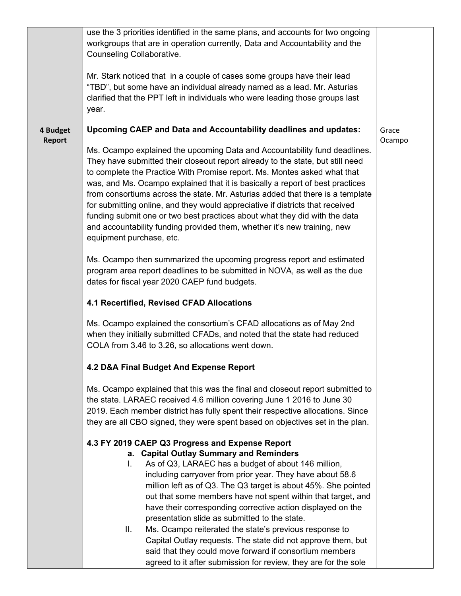|                           | use the 3 priorities identified in the same plans, and accounts for two ongoing<br>workgroups that are in operation currently, Data and Accountability and the<br>Counseling Collaborative.<br>Mr. Stark noticed that in a couple of cases some groups have their lead<br>"TBD", but some have an individual already named as a lead. Mr. Asturias<br>clarified that the PPT left in individuals who were leading those groups last<br>year.                                                                                                                                                                                                                                                                                                                                                                                                                                                                                                                                                                                                                                                                                                                                                                                                                                                                                                                                                                                                                                                                                                                                                                                                                                                                                                                                                                                                                                                                                                                                                                                                                                                                                                                                                                                                                                                                                          |                 |
|---------------------------|---------------------------------------------------------------------------------------------------------------------------------------------------------------------------------------------------------------------------------------------------------------------------------------------------------------------------------------------------------------------------------------------------------------------------------------------------------------------------------------------------------------------------------------------------------------------------------------------------------------------------------------------------------------------------------------------------------------------------------------------------------------------------------------------------------------------------------------------------------------------------------------------------------------------------------------------------------------------------------------------------------------------------------------------------------------------------------------------------------------------------------------------------------------------------------------------------------------------------------------------------------------------------------------------------------------------------------------------------------------------------------------------------------------------------------------------------------------------------------------------------------------------------------------------------------------------------------------------------------------------------------------------------------------------------------------------------------------------------------------------------------------------------------------------------------------------------------------------------------------------------------------------------------------------------------------------------------------------------------------------------------------------------------------------------------------------------------------------------------------------------------------------------------------------------------------------------------------------------------------------------------------------------------------------------------------------------------------|-----------------|
| 4 Budget<br><b>Report</b> | Upcoming CAEP and Data and Accountability deadlines and updates:<br>Ms. Ocampo explained the upcoming Data and Accountability fund deadlines.<br>They have submitted their closeout report already to the state, but still need<br>to complete the Practice With Promise report. Ms. Montes asked what that<br>was, and Ms. Ocampo explained that it is basically a report of best practices<br>from consortiums across the state. Mr. Asturias added that there is a template<br>for submitting online, and they would appreciative if districts that received<br>funding submit one or two best practices about what they did with the data<br>and accountability funding provided them, whether it's new training, new<br>equipment purchase, etc.<br>Ms. Ocampo then summarized the upcoming progress report and estimated<br>program area report deadlines to be submitted in NOVA, as well as the due<br>dates for fiscal year 2020 CAEP fund budgets.<br>4.1 Recertified, Revised CFAD Allocations<br>Ms. Ocampo explained the consortium's CFAD allocations as of May 2nd<br>when they initially submitted CFADs, and noted that the state had reduced<br>COLA from 3.46 to 3.26, so allocations went down.<br>4.2 D&A Final Budget And Expense Report<br>Ms. Ocampo explained that this was the final and closeout report submitted to<br>the state. LARAEC received 4.6 million covering June 1 2016 to June 30<br>2019. Each member district has fully spent their respective allocations. Since<br>they are all CBO signed, they were spent based on objectives set in the plan.<br>4.3 FY 2019 CAEP Q3 Progress and Expense Report<br>a. Capital Outlay Summary and Reminders<br>As of Q3, LARAEC has a budget of about 146 million,<br>L.<br>including carryover from prior year. They have about 58.6<br>million left as of Q3. The Q3 target is about 45%. She pointed<br>out that some members have not spent within that target, and<br>have their corresponding corrective action displayed on the<br>presentation slide as submitted to the state.<br>II.<br>Ms. Ocampo reiterated the state's previous response to<br>Capital Outlay requests. The state did not approve them, but<br>said that they could move forward if consortium members<br>agreed to it after submission for review, they are for the sole | Grace<br>Ocampo |
|                           |                                                                                                                                                                                                                                                                                                                                                                                                                                                                                                                                                                                                                                                                                                                                                                                                                                                                                                                                                                                                                                                                                                                                                                                                                                                                                                                                                                                                                                                                                                                                                                                                                                                                                                                                                                                                                                                                                                                                                                                                                                                                                                                                                                                                                                                                                                                                       |                 |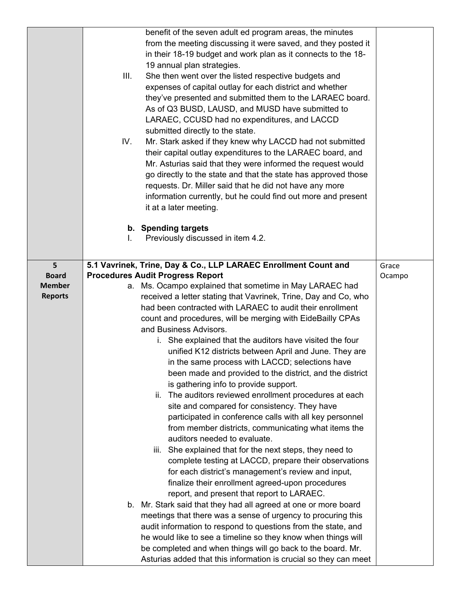|                               | benefit of the seven adult ed program areas, the minutes<br>from the meeting discussing it were saved, and they posted it       |        |
|-------------------------------|---------------------------------------------------------------------------------------------------------------------------------|--------|
|                               | in their 18-19 budget and work plan as it connects to the 18-                                                                   |        |
|                               | 19 annual plan strategies.<br>She then went over the listed respective budgets and<br>III.                                      |        |
|                               | expenses of capital outlay for each district and whether                                                                        |        |
|                               | they've presented and submitted them to the LARAEC board.                                                                       |        |
|                               | As of Q3 BUSD, LAUSD, and MUSD have submitted to                                                                                |        |
|                               | LARAEC, CCUSD had no expenditures, and LACCD                                                                                    |        |
|                               | submitted directly to the state.                                                                                                |        |
|                               | Mr. Stark asked if they knew why LACCD had not submitted<br>IV.                                                                 |        |
|                               | their capital outlay expenditures to the LARAEC board, and<br>Mr. Asturias said that they were informed the request would       |        |
|                               | go directly to the state and that the state has approved those                                                                  |        |
|                               | requests. Dr. Miller said that he did not have any more                                                                         |        |
|                               | information currently, but he could find out more and present                                                                   |        |
|                               | it at a later meeting.                                                                                                          |        |
|                               | b. Spending targets                                                                                                             |        |
|                               | Previously discussed in item 4.2.<br>I.                                                                                         |        |
|                               |                                                                                                                                 |        |
| 5                             | 5.1 Vavrinek, Trine, Day & Co., LLP LARAEC Enrollment Count and                                                                 | Grace  |
| <b>Board</b><br><b>Member</b> | <b>Procedures Audit Progress Report</b><br>a. Ms. Ocampo explained that sometime in May LARAEC had                              | Ocampo |
| <b>Reports</b>                | received a letter stating that Vavrinek, Trine, Day and Co, who                                                                 |        |
|                               | had been contracted with LARAEC to audit their enrollment                                                                       |        |
|                               | count and procedures, will be merging with EideBailly CPAs                                                                      |        |
|                               | and Business Advisors.                                                                                                          |        |
|                               | i. She explained that the auditors have visited the four                                                                        |        |
|                               | unified K12 districts between April and June. They are                                                                          |        |
|                               | in the same process with LACCD; selections have<br>been made and provided to the district, and the district                     |        |
|                               | is gathering info to provide support.                                                                                           |        |
|                               | The auditors reviewed enrollment procedures at each<br>ii.                                                                      |        |
|                               | site and compared for consistency. They have                                                                                    |        |
|                               | participated in conference calls with all key personnel                                                                         |        |
|                               | from member districts, communicating what items the                                                                             |        |
|                               | auditors needed to evaluate.                                                                                                    |        |
|                               | iii. She explained that for the next steps, they need to                                                                        |        |
|                               | complete testing at LACCD, prepare their observations<br>for each district's management's review and input,                     |        |
|                               | finalize their enrollment agreed-upon procedures                                                                                |        |
|                               | report, and present that report to LARAEC.                                                                                      |        |
|                               | b. Mr. Stark said that they had all agreed at one or more board                                                                 |        |
|                               | meetings that there was a sense of urgency to procuring this                                                                    |        |
|                               | audit information to respond to questions from the state, and                                                                   |        |
|                               | he would like to see a timeline so they know when things will                                                                   |        |
|                               | be completed and when things will go back to the board. Mr.<br>Asturias added that this information is crucial so they can meet |        |
|                               |                                                                                                                                 |        |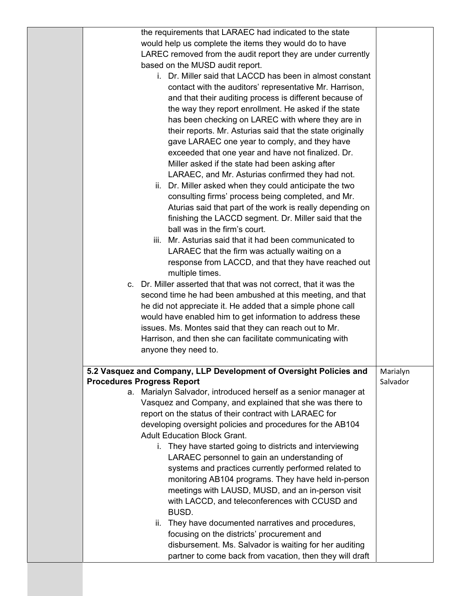| the requirements that LARAEC had indicated to the state                                                              |          |
|----------------------------------------------------------------------------------------------------------------------|----------|
| would help us complete the items they would do to have                                                               |          |
| LAREC removed from the audit report they are under currently                                                         |          |
| based on the MUSD audit report.                                                                                      |          |
| i. Dr. Miller said that LACCD has been in almost constant                                                            |          |
| contact with the auditors' representative Mr. Harrison,                                                              |          |
| and that their auditing process is different because of                                                              |          |
| the way they report enrollment. He asked if the state                                                                |          |
| has been checking on LAREC with where they are in                                                                    |          |
| their reports. Mr. Asturias said that the state originally                                                           |          |
| gave LARAEC one year to comply, and they have                                                                        |          |
| exceeded that one year and have not finalized. Dr.                                                                   |          |
| Miller asked if the state had been asking after                                                                      |          |
| LARAEC, and Mr. Asturias confirmed they had not.                                                                     |          |
| ii. Dr. Miller asked when they could anticipate the two                                                              |          |
| consulting firms' process being completed, and Mr.                                                                   |          |
| Aturias said that part of the work is really depending on                                                            |          |
| finishing the LACCD segment. Dr. Miller said that the                                                                |          |
| ball was in the firm's court.                                                                                        |          |
| iii. Mr. Asturias said that it had been communicated to                                                              |          |
| LARAEC that the firm was actually waiting on a                                                                       |          |
| response from LACCD, and that they have reached out                                                                  |          |
| multiple times.                                                                                                      |          |
| c. Dr. Miller asserted that that was not correct, that it was the                                                    |          |
| second time he had been ambushed at this meeting, and that                                                           |          |
| he did not appreciate it. He added that a simple phone call                                                          |          |
| would have enabled him to get information to address these                                                           |          |
| issues. Ms. Montes said that they can reach out to Mr.                                                               |          |
| Harrison, and then she can facilitate communicating with                                                             |          |
| anyone they need to.                                                                                                 |          |
|                                                                                                                      |          |
| 5.2 Vasquez and Company, LLP Development of Oversight Policies and                                                   | Marialyn |
| <b>Procedures Progress Report</b>                                                                                    | Salvador |
| a. Marialyn Salvador, introduced herself as a senior manager at                                                      |          |
| Vasquez and Company, and explained that she was there to                                                             |          |
| report on the status of their contract with LARAEC for<br>developing oversight policies and procedures for the AB104 |          |
| <b>Adult Education Block Grant.</b>                                                                                  |          |
| i. They have started going to districts and interviewing                                                             |          |
| LARAEC personnel to gain an understanding of                                                                         |          |
| systems and practices currently performed related to                                                                 |          |
| monitoring AB104 programs. They have held in-person                                                                  |          |
| meetings with LAUSD, MUSD, and an in-person visit                                                                    |          |
| with LACCD, and teleconferences with CCUSD and                                                                       |          |
| BUSD.                                                                                                                |          |
| ii. They have documented narratives and procedures,                                                                  |          |
| focusing on the districts' procurement and                                                                           |          |
| disbursement. Ms. Salvador is waiting for her auditing                                                               |          |
| partner to come back from vacation, then they will draft                                                             |          |
|                                                                                                                      |          |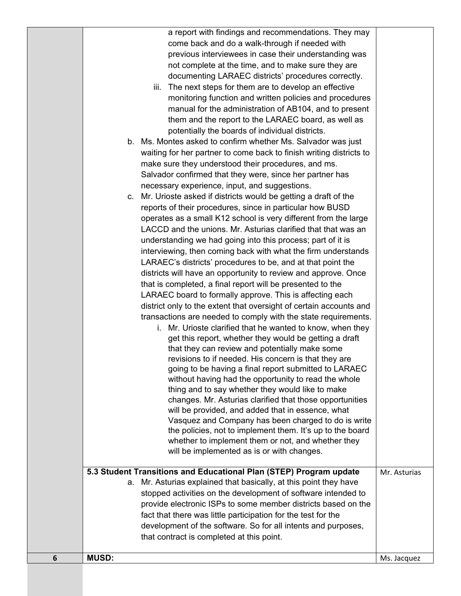|   | a report with findings and recommendations. They may                                                                                       |              |
|---|--------------------------------------------------------------------------------------------------------------------------------------------|--------------|
|   | come back and do a walk-through if needed with                                                                                             |              |
|   | previous interviewees in case their understanding was                                                                                      |              |
|   | not complete at the time, and to make sure they are                                                                                        |              |
|   | documenting LARAEC districts' procedures correctly.                                                                                        |              |
|   | The next steps for them are to develop an effective<br>iii.                                                                                |              |
|   | monitoring function and written policies and procedures                                                                                    |              |
|   | manual for the administration of AB104, and to present                                                                                     |              |
|   | them and the report to the LARAEC board, as well as                                                                                        |              |
|   | potentially the boards of individual districts.                                                                                            |              |
|   | b. Ms. Montes asked to confirm whether Ms. Salvador was just                                                                               |              |
|   | waiting for her partner to come back to finish writing districts to                                                                        |              |
|   | make sure they understood their procedures, and ms.                                                                                        |              |
|   | Salvador confirmed that they were, since her partner has                                                                                   |              |
|   | necessary experience, input, and suggestions.                                                                                              |              |
|   | c. Mr. Urioste asked if districts would be getting a draft of the                                                                          |              |
|   | reports of their procedures, since in particular how BUSD                                                                                  |              |
|   | operates as a small K12 school is very different from the large                                                                            |              |
|   |                                                                                                                                            |              |
|   | LACCD and the unions. Mr. Asturias clarified that that was an                                                                              |              |
|   | understanding we had going into this process; part of it is                                                                                |              |
|   | interviewing, then coming back with what the firm understands                                                                              |              |
|   | LARAEC's districts' procedures to be, and at that point the                                                                                |              |
|   | districts will have an opportunity to review and approve. Once                                                                             |              |
|   | that is completed, a final report will be presented to the                                                                                 |              |
|   | LARAEC board to formally approve. This is affecting each                                                                                   |              |
|   | district only to the extent that oversight of certain accounts and                                                                         |              |
|   | transactions are needed to comply with the state requirements.                                                                             |              |
|   | i. Mr. Urioste clarified that he wanted to know, when they                                                                                 |              |
|   | get this report, whether they would be getting a draft                                                                                     |              |
|   | that they can review and potentially make some                                                                                             |              |
|   | revisions to if needed. His concern is that they are                                                                                       |              |
|   | going to be having a final report submitted to LARAEC                                                                                      |              |
|   | without having had the opportunity to read the whole                                                                                       |              |
|   | thing and to say whether they would like to make                                                                                           |              |
|   | changes. Mr. Asturias clarified that those opportunities                                                                                   |              |
|   | will be provided, and added that in essence, what                                                                                          |              |
|   | Vasquez and Company has been charged to do is write                                                                                        |              |
|   | the policies, not to implement them. It's up to the board                                                                                  |              |
|   | whether to implement them or not, and whether they                                                                                         |              |
|   | will be implemented as is or with changes.                                                                                                 |              |
|   |                                                                                                                                            |              |
|   | 5.3 Student Transitions and Educational Plan (STEP) Program update<br>Mr. Asturias explained that basically, at this point they have<br>а. | Mr. Asturias |
|   |                                                                                                                                            |              |
|   | stopped activities on the development of software intended to                                                                              |              |
|   | provide electronic ISPs to some member districts based on the                                                                              |              |
|   | fact that there was little participation for the test for the                                                                              |              |
|   | development of the software. So for all intents and purposes,                                                                              |              |
|   | that contract is completed at this point.                                                                                                  |              |
| 6 | <b>MUSD:</b>                                                                                                                               |              |
|   |                                                                                                                                            | Ms. Jacquez  |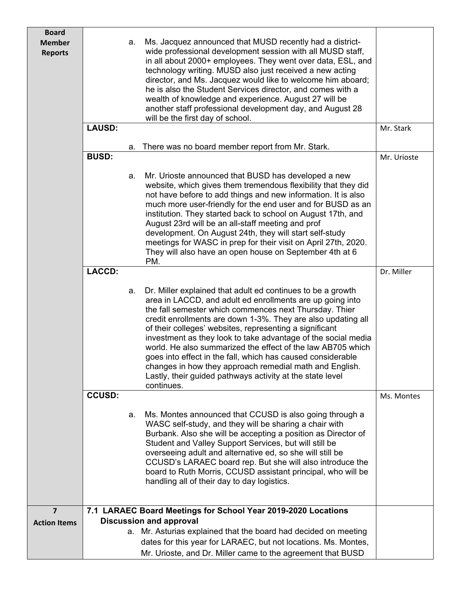| <b>Board</b>                    |               |    |                                                                                                                                                                                                                                                                                                                                                                                                                                                                                                                                                                                                                                                    |             |
|---------------------------------|---------------|----|----------------------------------------------------------------------------------------------------------------------------------------------------------------------------------------------------------------------------------------------------------------------------------------------------------------------------------------------------------------------------------------------------------------------------------------------------------------------------------------------------------------------------------------------------------------------------------------------------------------------------------------------------|-------------|
| <b>Member</b><br><b>Reports</b> |               | a. | Ms. Jacquez announced that MUSD recently had a district-<br>wide professional development session with all MUSD staff,<br>in all about 2000+ employees. They went over data, ESL, and<br>technology writing. MUSD also just received a new acting<br>director, and Ms. Jacquez would like to welcome him aboard;<br>he is also the Student Services director, and comes with a<br>wealth of knowledge and experience. August 27 will be<br>another staff professional development day, and August 28<br>will be the first day of school.                                                                                                           |             |
|                                 | <b>LAUSD:</b> |    |                                                                                                                                                                                                                                                                                                                                                                                                                                                                                                                                                                                                                                                    | Mr. Stark   |
|                                 |               | а. | There was no board member report from Mr. Stark.                                                                                                                                                                                                                                                                                                                                                                                                                                                                                                                                                                                                   |             |
|                                 | <b>BUSD:</b>  |    |                                                                                                                                                                                                                                                                                                                                                                                                                                                                                                                                                                                                                                                    | Mr. Urioste |
|                                 |               | a. | Mr. Urioste announced that BUSD has developed a new<br>website, which gives them tremendous flexibility that they did<br>not have before to add things and new information. It is also<br>much more user-friendly for the end user and for BUSD as an<br>institution. They started back to school on August 17th, and<br>August 23rd will be an all-staff meeting and prof<br>development. On August 24th, they will start self-study<br>meetings for WASC in prep for their visit on April 27th, 2020.<br>They will also have an open house on September 4th at 6<br>PM.                                                                          |             |
|                                 | <b>LACCD:</b> |    |                                                                                                                                                                                                                                                                                                                                                                                                                                                                                                                                                                                                                                                    | Dr. Miller  |
|                                 |               | a. | Dr. Miller explained that adult ed continues to be a growth<br>area in LACCD, and adult ed enrollments are up going into<br>the fall semester which commences next Thursday. Thier<br>credit enrollments are down 1-3%. They are also updating all<br>of their colleges' websites, representing a significant<br>investment as they look to take advantage of the social media<br>world. He also summarized the effect of the law AB705 which<br>goes into effect in the fall, which has caused considerable<br>changes in how they approach remedial math and English.<br>Lastly, their guided pathways activity at the state level<br>continues. |             |
|                                 | <b>CCUSD:</b> |    |                                                                                                                                                                                                                                                                                                                                                                                                                                                                                                                                                                                                                                                    | Ms. Montes  |
|                                 |               | a. | Ms. Montes announced that CCUSD is also going through a<br>WASC self-study, and they will be sharing a chair with<br>Burbank. Also she will be accepting a position as Director of<br>Student and Valley Support Services, but will still be<br>overseeing adult and alternative ed, so she will still be<br>CCUSD's LARAEC board rep. But she will also introduce the<br>board to Ruth Morris, CCUSD assistant principal, who will be<br>handling all of their day to day logistics.                                                                                                                                                              |             |
| $\overline{\mathbf{z}}$         |               |    | 7.1 LARAEC Board Meetings for School Year 2019-2020 Locations                                                                                                                                                                                                                                                                                                                                                                                                                                                                                                                                                                                      |             |
| <b>Action Items</b>             |               |    | <b>Discussion and approval</b><br>a. Mr. Asturias explained that the board had decided on meeting<br>dates for this year for LARAEC, but not locations. Ms. Montes,<br>Mr. Urioste, and Dr. Miller came to the agreement that BUSD                                                                                                                                                                                                                                                                                                                                                                                                                 |             |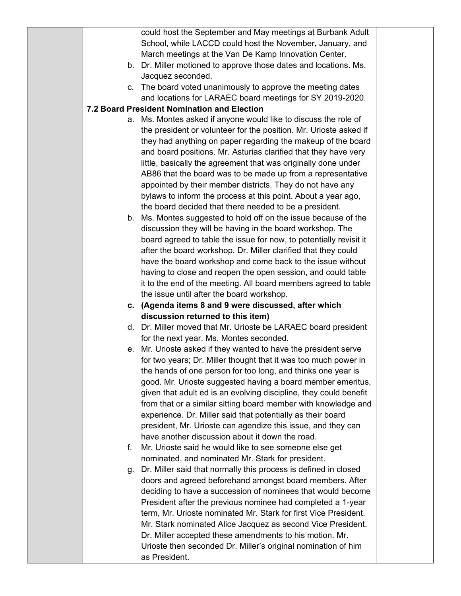|    | could host the September and May meetings at Burbank Adult                                                                        |  |
|----|-----------------------------------------------------------------------------------------------------------------------------------|--|
|    | School, while LACCD could host the November, January, and                                                                         |  |
|    | March meetings at the Van De Kamp Innovation Center.                                                                              |  |
|    | b. Dr. Miller motioned to approve those dates and locations. Ms.                                                                  |  |
|    | Jacquez seconded.                                                                                                                 |  |
|    | c. The board voted unanimously to approve the meeting dates                                                                       |  |
|    | and locations for LARAEC board meetings for SY 2019-2020.                                                                         |  |
|    | 7.2 Board President Nomination and Election                                                                                       |  |
| а. | Ms. Montes asked if anyone would like to discuss the role of                                                                      |  |
|    | the president or volunteer for the position. Mr. Urioste asked if                                                                 |  |
|    | they had anything on paper regarding the makeup of the board                                                                      |  |
|    | and board positions. Mr. Asturias clarified that they have very<br>little, basically the agreement that was originally done under |  |
|    | AB86 that the board was to be made up from a representative                                                                       |  |
|    | appointed by their member districts. They do not have any                                                                         |  |
|    | bylaws to inform the process at this point. About a year ago,                                                                     |  |
|    | the board decided that there needed to be a president.                                                                            |  |
|    | b. Ms. Montes suggested to hold off on the issue because of the                                                                   |  |
|    | discussion they will be having in the board workshop. The                                                                         |  |
|    | board agreed to table the issue for now, to potentially revisit it                                                                |  |
|    | after the board workshop. Dr. Miller clarified that they could                                                                    |  |
|    | have the board workshop and come back to the issue without                                                                        |  |
|    | having to close and reopen the open session, and could table                                                                      |  |
|    | it to the end of the meeting. All board members agreed to table                                                                   |  |
|    | the issue until after the board workshop.                                                                                         |  |
|    | c. (Agenda items 8 and 9 were discussed, after which                                                                              |  |
|    | discussion returned to this item)<br>d. Dr. Miller moved that Mr. Urioste be LARAEC board president                               |  |
|    | for the next year. Ms. Montes seconded.                                                                                           |  |
|    | e. Mr. Urioste asked if they wanted to have the president serve                                                                   |  |
|    | for two years; Dr. Miller thought that it was too much power in                                                                   |  |
|    | the hands of one person for too long, and thinks one year is                                                                      |  |
|    | good. Mr. Urioste suggested having a board member emeritus,                                                                       |  |
|    | given that adult ed is an evolving discipline, they could benefit                                                                 |  |
|    | from that or a similar sitting board member with knowledge and                                                                    |  |
|    | experience. Dr. Miller said that potentially as their board                                                                       |  |
|    | president, Mr. Urioste can agendize this issue, and they can                                                                      |  |
|    | have another discussion about it down the road.                                                                                   |  |
| f. | Mr. Urioste said he would like to see someone else get                                                                            |  |
|    | nominated, and nominated Mr. Stark for president.                                                                                 |  |
| g. | Dr. Miller said that normally this process is defined in closed                                                                   |  |
|    | doors and agreed beforehand amongst board members. After<br>deciding to have a succession of nominees that would become           |  |
|    | President after the previous nominee had completed a 1-year                                                                       |  |
|    | term, Mr. Urioste nominated Mr. Stark for first Vice President.                                                                   |  |
|    | Mr. Stark nominated Alice Jacquez as second Vice President.                                                                       |  |
|    | Dr. Miller accepted these amendments to his motion. Mr.                                                                           |  |
|    | Urioste then seconded Dr. Miller's original nomination of him                                                                     |  |
|    | as President.                                                                                                                     |  |
|    |                                                                                                                                   |  |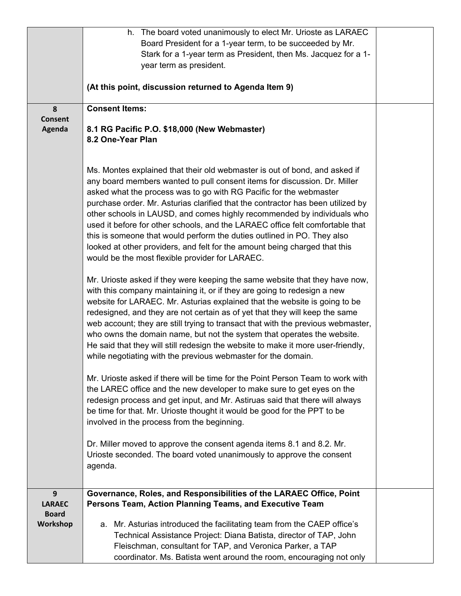|                               | h. The board voted unanimously to elect Mr. Urioste as LARAEC                                                                                                                                                                                                                                                        |  |
|-------------------------------|----------------------------------------------------------------------------------------------------------------------------------------------------------------------------------------------------------------------------------------------------------------------------------------------------------------------|--|
|                               | Board President for a 1-year term, to be succeeded by Mr.                                                                                                                                                                                                                                                            |  |
|                               | Stark for a 1-year term as President, then Ms. Jacquez for a 1-                                                                                                                                                                                                                                                      |  |
|                               | year term as president.                                                                                                                                                                                                                                                                                              |  |
|                               |                                                                                                                                                                                                                                                                                                                      |  |
|                               | (At this point, discussion returned to Agenda Item 9)                                                                                                                                                                                                                                                                |  |
|                               |                                                                                                                                                                                                                                                                                                                      |  |
| 8                             | <b>Consent Items:</b>                                                                                                                                                                                                                                                                                                |  |
| <b>Consent</b>                |                                                                                                                                                                                                                                                                                                                      |  |
| Agenda                        | 8.1 RG Pacific P.O. \$18,000 (New Webmaster)                                                                                                                                                                                                                                                                         |  |
|                               | 8.2 One-Year Plan                                                                                                                                                                                                                                                                                                    |  |
|                               |                                                                                                                                                                                                                                                                                                                      |  |
|                               |                                                                                                                                                                                                                                                                                                                      |  |
|                               | Ms. Montes explained that their old webmaster is out of bond, and asked if<br>any board members wanted to pull consent items for discussion. Dr. Miller                                                                                                                                                              |  |
|                               | asked what the process was to go with RG Pacific for the webmaster                                                                                                                                                                                                                                                   |  |
|                               | purchase order. Mr. Asturias clarified that the contractor has been utilized by                                                                                                                                                                                                                                      |  |
|                               |                                                                                                                                                                                                                                                                                                                      |  |
|                               | other schools in LAUSD, and comes highly recommended by individuals who                                                                                                                                                                                                                                              |  |
|                               | used it before for other schools, and the LARAEC office felt comfortable that                                                                                                                                                                                                                                        |  |
|                               | this is someone that would perform the duties outlined in PO. They also                                                                                                                                                                                                                                              |  |
|                               | looked at other providers, and felt for the amount being charged that this                                                                                                                                                                                                                                           |  |
|                               | would be the most flexible provider for LARAEC.                                                                                                                                                                                                                                                                      |  |
|                               | Mr. Urioste asked if they were keeping the same website that they have now,<br>with this company maintaining it, or if they are going to redesign a new<br>website for LARAEC. Mr. Asturias explained that the website is going to be<br>redesigned, and they are not certain as of yet that they will keep the same |  |
|                               | web account; they are still trying to transact that with the previous webmaster,                                                                                                                                                                                                                                     |  |
|                               | who owns the domain name, but not the system that operates the website.                                                                                                                                                                                                                                              |  |
|                               | He said that they will still redesign the website to make it more user-friendly,                                                                                                                                                                                                                                     |  |
|                               | while negotiating with the previous webmaster for the domain.                                                                                                                                                                                                                                                        |  |
|                               | Mr. Urioste asked if there will be time for the Point Person Team to work with                                                                                                                                                                                                                                       |  |
|                               | the LAREC office and the new developer to make sure to get eyes on the                                                                                                                                                                                                                                               |  |
|                               | redesign process and get input, and Mr. Astiruas said that there will always                                                                                                                                                                                                                                         |  |
|                               | be time for that. Mr. Urioste thought it would be good for the PPT to be                                                                                                                                                                                                                                             |  |
|                               | involved in the process from the beginning.                                                                                                                                                                                                                                                                          |  |
|                               |                                                                                                                                                                                                                                                                                                                      |  |
|                               | Dr. Miller moved to approve the consent agenda items 8.1 and 8.2. Mr.                                                                                                                                                                                                                                                |  |
|                               | Urioste seconded. The board voted unanimously to approve the consent                                                                                                                                                                                                                                                 |  |
|                               | agenda.                                                                                                                                                                                                                                                                                                              |  |
|                               |                                                                                                                                                                                                                                                                                                                      |  |
| 9                             | Governance, Roles, and Responsibilities of the LARAEC Office, Point                                                                                                                                                                                                                                                  |  |
| <b>LARAEC</b><br><b>Board</b> | Persons Team, Action Planning Teams, and Executive Team                                                                                                                                                                                                                                                              |  |
| Workshop                      | a. Mr. Asturias introduced the facilitating team from the CAEP office's                                                                                                                                                                                                                                              |  |
|                               | Technical Assistance Project: Diana Batista, director of TAP, John                                                                                                                                                                                                                                                   |  |
|                               | Fleischman, consultant for TAP, and Veronica Parker, a TAP                                                                                                                                                                                                                                                           |  |
|                               | coordinator. Ms. Batista went around the room, encouraging not only                                                                                                                                                                                                                                                  |  |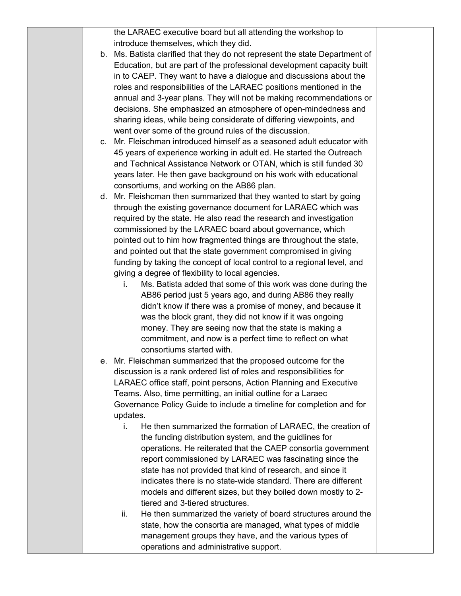the LARAEC executive board but all attending the workshop to introduce themselves, which they did.

- b. Ms. Batista clarified that they do not represent the state Department of Education, but are part of the professional development capacity built in to CAEP. They want to have a dialogue and discussions about the roles and responsibilities of the LARAEC positions mentioned in the annual and 3-year plans. They will not be making recommendations or decisions. She emphasized an atmosphere of open-mindedness and sharing ideas, while being considerate of differing viewpoints, and went over some of the ground rules of the discussion.
- c. Mr. Fleischman introduced himself as a seasoned adult educator with 45 years of experience working in adult ed. He started the Outreach and Technical Assistance Network or OTAN, which is still funded 30 years later. He then gave background on his work with educational consortiums, and working on the AB86 plan.
- d. Mr. Fleishcman then summarized that they wanted to start by going through the existing governance document for LARAEC which was required by the state. He also read the research and investigation commissioned by the LARAEC board about governance, which pointed out to him how fragmented things are throughout the state, and pointed out that the state government compromised in giving funding by taking the concept of local control to a regional level, and giving a degree of flexibility to local agencies.
	- i. Ms. Batista added that some of this work was done during the AB86 period just 5 years ago, and during AB86 they really didn't know if there was a promise of money, and because it was the block grant, they did not know if it was ongoing money. They are seeing now that the state is making a commitment, and now is a perfect time to reflect on what consortiums started with.
- e. Mr. Fleischman summarized that the proposed outcome for the discussion is a rank ordered list of roles and responsibilities for LARAEC office staff, point persons, Action Planning and Executive Teams. Also, time permitting, an initial outline for a Laraec Governance Policy Guide to include a timeline for completion and for updates.
	- i. He then summarized the formation of LARAEC, the creation of the funding distribution system, and the guidlines for operations. He reiterated that the CAEP consortia government report commissioned by LARAEC was fascinating since the state has not provided that kind of research, and since it indicates there is no state-wide standard. There are different models and different sizes, but they boiled down mostly to 2 tiered and 3-tiered structures.
	- ii. He then summarized the variety of board structures around the state, how the consortia are managed, what types of middle management groups they have, and the various types of operations and administrative support.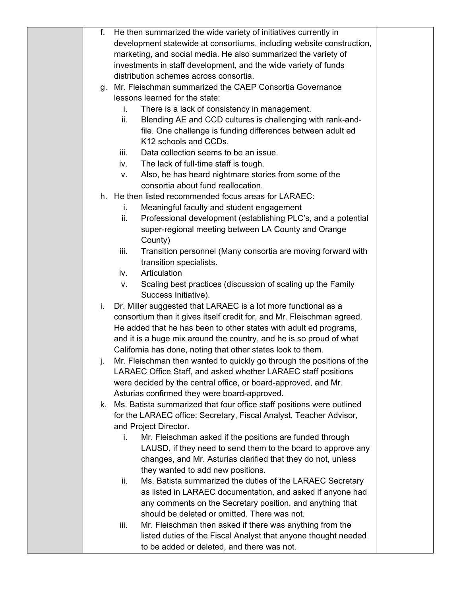| f. | He then summarized the wide variety of initiatives currently in                                                                          |  |
|----|------------------------------------------------------------------------------------------------------------------------------------------|--|
|    | development statewide at consortiums, including website construction,                                                                    |  |
|    | marketing, and social media. He also summarized the variety of                                                                           |  |
|    | investments in staff development, and the wide variety of funds                                                                          |  |
|    | distribution schemes across consortia.                                                                                                   |  |
| g. | Mr. Fleischman summarized the CAEP Consortia Governance                                                                                  |  |
|    | lessons learned for the state:                                                                                                           |  |
|    | There is a lack of consistency in management.<br>i.                                                                                      |  |
|    | Blending AE and CCD cultures is challenging with rank-and-<br>ii.                                                                        |  |
|    | file. One challenge is funding differences between adult ed                                                                              |  |
|    | K12 schools and CCDs.                                                                                                                    |  |
|    | Data collection seems to be an issue.<br>iii.                                                                                            |  |
|    | The lack of full-time staff is tough.<br>iv.                                                                                             |  |
|    | Also, he has heard nightmare stories from some of the<br>v.                                                                              |  |
|    | consortia about fund reallocation.                                                                                                       |  |
|    | h. He then listed recommended focus areas for LARAEC:                                                                                    |  |
|    | Meaningful faculty and student engagement<br>i.                                                                                          |  |
|    | Professional development (establishing PLC's, and a potential<br>ii.                                                                     |  |
|    | super-regional meeting between LA County and Orange                                                                                      |  |
|    | County)                                                                                                                                  |  |
|    | Transition personnel (Many consortia are moving forward with<br>iii.                                                                     |  |
|    | transition specialists.                                                                                                                  |  |
|    | Articulation<br>iv.                                                                                                                      |  |
|    | Scaling best practices (discussion of scaling up the Family<br>ν.                                                                        |  |
|    | Success Initiative).                                                                                                                     |  |
| i. | Dr. Miller suggested that LARAEC is a lot more functional as a                                                                           |  |
|    | consortium than it gives itself credit for, and Mr. Fleischman agreed.                                                                   |  |
|    | He added that he has been to other states with adult ed programs,<br>and it is a huge mix around the country, and he is so proud of what |  |
|    | California has done, noting that other states look to them.                                                                              |  |
| J. | Mr. Fleischman then wanted to quickly go through the positions of the                                                                    |  |
|    | LARAEC Office Staff, and asked whether LARAEC staff positions                                                                            |  |
|    | were decided by the central office, or board-approved, and Mr.                                                                           |  |
|    | Asturias confirmed they were board-approved.                                                                                             |  |
|    | k. Ms. Batista summarized that four office staff positions were outlined                                                                 |  |
|    | for the LARAEC office: Secretary, Fiscal Analyst, Teacher Advisor,                                                                       |  |
|    | and Project Director.                                                                                                                    |  |
|    | Mr. Fleischman asked if the positions are funded through<br>i.                                                                           |  |
|    | LAUSD, if they need to send them to the board to approve any                                                                             |  |
|    | changes, and Mr. Asturias clarified that they do not, unless                                                                             |  |
|    | they wanted to add new positions.                                                                                                        |  |
|    | Ms. Batista summarized the duties of the LARAEC Secretary<br>ii.                                                                         |  |
|    | as listed in LARAEC documentation, and asked if anyone had                                                                               |  |
|    | any comments on the Secretary position, and anything that                                                                                |  |
|    | should be deleted or omitted. There was not.                                                                                             |  |
|    | Mr. Fleischman then asked if there was anything from the<br>iii.                                                                         |  |
|    | listed duties of the Fiscal Analyst that anyone thought needed                                                                           |  |
|    | to be added or deleted, and there was not.                                                                                               |  |
|    |                                                                                                                                          |  |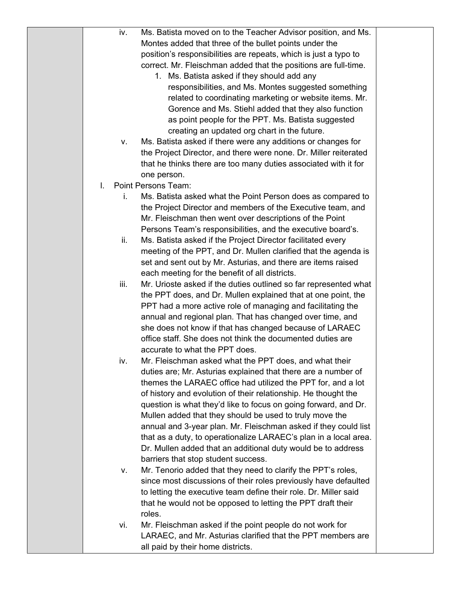|    | iv.  | Ms. Batista moved on to the Teacher Advisor position, and Ms.    |  |
|----|------|------------------------------------------------------------------|--|
|    |      | Montes added that three of the bullet points under the           |  |
|    |      | position's responsibilities are repeats, which is just a typo to |  |
|    |      | correct. Mr. Fleischman added that the positions are full-time.  |  |
|    |      | 1. Ms. Batista asked if they should add any                      |  |
|    |      | responsibilities, and Ms. Montes suggested something             |  |
|    |      | related to coordinating marketing or website items. Mr.          |  |
|    |      | Gorence and Ms. Stiehl added that they also function             |  |
|    |      | as point people for the PPT. Ms. Batista suggested               |  |
|    |      | creating an updated org chart in the future.                     |  |
|    | v.   | Ms. Batista asked if there were any additions or changes for     |  |
|    |      |                                                                  |  |
|    |      | the Project Director, and there were none. Dr. Miller reiterated |  |
|    |      | that he thinks there are too many duties associated with it for  |  |
|    |      | one person.                                                      |  |
| I. |      | <b>Point Persons Team:</b>                                       |  |
|    | İ.   | Ms. Batista asked what the Point Person does as compared to      |  |
|    |      | the Project Director and members of the Executive team, and      |  |
|    |      | Mr. Fleischman then went over descriptions of the Point          |  |
|    |      | Persons Team's responsibilities, and the executive board's.      |  |
|    | ii.  | Ms. Batista asked if the Project Director facilitated every      |  |
|    |      | meeting of the PPT, and Dr. Mullen clarified that the agenda is  |  |
|    |      | set and sent out by Mr. Asturias, and there are items raised     |  |
|    |      | each meeting for the benefit of all districts.                   |  |
|    | iii. | Mr. Urioste asked if the duties outlined so far represented what |  |
|    |      | the PPT does, and Dr. Mullen explained that at one point, the    |  |
|    |      | PPT had a more active role of managing and facilitating the      |  |
|    |      | annual and regional plan. That has changed over time, and        |  |
|    |      | she does not know if that has changed because of LARAEC          |  |
|    |      | office staff. She does not think the documented duties are       |  |
|    |      | accurate to what the PPT does.                                   |  |
|    | iv.  | Mr. Fleischman asked what the PPT does, and what their           |  |
|    |      | duties are; Mr. Asturias explained that there are a number of    |  |
|    |      | themes the LARAEC office had utilized the PPT for, and a lot     |  |
|    |      | of history and evolution of their relationship. He thought the   |  |
|    |      | question is what they'd like to focus on going forward, and Dr.  |  |
|    |      | Mullen added that they should be used to truly move the          |  |
|    |      | annual and 3-year plan. Mr. Fleischman asked if they could list  |  |
|    |      | that as a duty, to operationalize LARAEC's plan in a local area. |  |
|    |      | Dr. Mullen added that an additional duty would be to address     |  |
|    |      | barriers that stop student success.                              |  |
|    | v.   | Mr. Tenorio added that they need to clarify the PPT's roles,     |  |
|    |      | since most discussions of their roles previously have defaulted  |  |
|    |      | to letting the executive team define their role. Dr. Miller said |  |
|    |      | that he would not be opposed to letting the PPT draft their      |  |
|    |      | roles.                                                           |  |
|    | vi.  | Mr. Fleischman asked if the point people do not work for         |  |
|    |      | LARAEC, and Mr. Asturias clarified that the PPT members are      |  |
|    |      | all paid by their home districts.                                |  |
|    |      |                                                                  |  |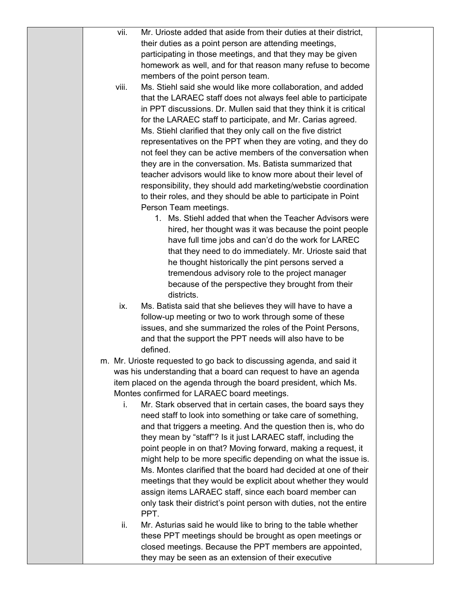| vii.<br>Mr. Urioste added that aside from their duties at their district,                                                            |  |
|--------------------------------------------------------------------------------------------------------------------------------------|--|
|                                                                                                                                      |  |
| their duties as a point person are attending meetings,                                                                               |  |
| participating in those meetings, and that they may be given                                                                          |  |
| homework as well, and for that reason many refuse to become                                                                          |  |
| members of the point person team.                                                                                                    |  |
| Ms. Stiehl said she would like more collaboration, and added<br>viii.                                                                |  |
| that the LARAEC staff does not always feel able to participate                                                                       |  |
| in PPT discussions. Dr. Mullen said that they think it is critical                                                                   |  |
| for the LARAEC staff to participate, and Mr. Carias agreed.                                                                          |  |
| Ms. Stiehl clarified that they only call on the five district                                                                        |  |
| representatives on the PPT when they are voting, and they do                                                                         |  |
| not feel they can be active members of the conversation when                                                                         |  |
| they are in the conversation. Ms. Batista summarized that                                                                            |  |
| teacher advisors would like to know more about their level of                                                                        |  |
| responsibility, they should add marketing/webstie coordination                                                                       |  |
| to their roles, and they should be able to participate in Point                                                                      |  |
| Person Team meetings.                                                                                                                |  |
| 1. Ms. Stiehl added that when the Teacher Advisors were                                                                              |  |
| hired, her thought was it was because the point people                                                                               |  |
| have full time jobs and can'd do the work for LAREC                                                                                  |  |
| that they need to do immediately. Mr. Urioste said that                                                                              |  |
| he thought historically the pint persons served a                                                                                    |  |
| tremendous advisory role to the project manager                                                                                      |  |
| because of the perspective they brought from their                                                                                   |  |
| districts.                                                                                                                           |  |
| Ms. Batista said that she believes they will have to have a<br>ix.                                                                   |  |
| follow-up meeting or two to work through some of these                                                                               |  |
| issues, and she summarized the roles of the Point Persons,                                                                           |  |
| and that the support the PPT needs will also have to be                                                                              |  |
| defined.                                                                                                                             |  |
| Mr. Urioste requested to go back to discussing agenda, and said it<br>m.                                                             |  |
| was his understanding that a board can request to have an agenda<br>item placed on the agenda through the board president, which Ms. |  |
| Montes confirmed for LARAEC board meetings.                                                                                          |  |
| Mr. Stark observed that in certain cases, the board says they<br>i.                                                                  |  |
| need staff to look into something or take care of something,                                                                         |  |
| and that triggers a meeting. And the question then is, who do                                                                        |  |
| they mean by "staff"? Is it just LARAEC staff, including the                                                                         |  |
| point people in on that? Moving forward, making a request, it                                                                        |  |
| might help to be more specific depending on what the issue is.                                                                       |  |
| Ms. Montes clarified that the board had decided at one of their                                                                      |  |
| meetings that they would be explicit about whether they would                                                                        |  |
| assign items LARAEC staff, since each board member can                                                                               |  |
| only task their district's point person with duties, not the entire                                                                  |  |
| PPT.                                                                                                                                 |  |
| ii.<br>Mr. Asturias said he would like to bring to the table whether                                                                 |  |
| these PPT meetings should be brought as open meetings or                                                                             |  |
| closed meetings. Because the PPT members are appointed,                                                                              |  |
| they may be seen as an extension of their executive                                                                                  |  |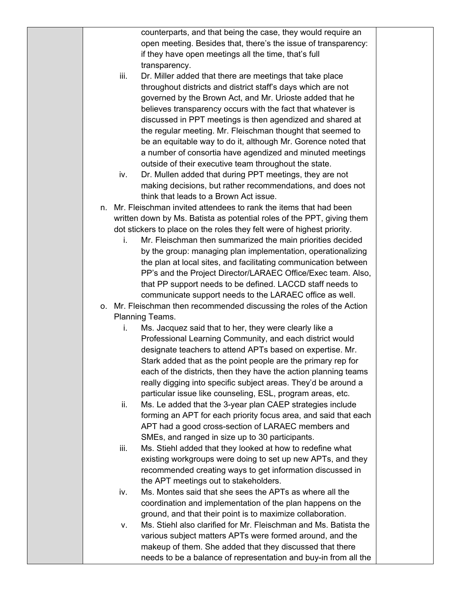| open meeting. Besides that, there's the issue of transparency:<br>if they have open meetings all the time, that's full<br>transparency.<br>iii.<br>Dr. Miller added that there are meetings that take place<br>throughout districts and district staff's days which are not<br>governed by the Brown Act, and Mr. Urioste added that he<br>believes transparency occurs with the fact that whatever is<br>discussed in PPT meetings is then agendized and shared at<br>the regular meeting. Mr. Fleischman thought that seemed to<br>be an equitable way to do it, although Mr. Gorence noted that<br>a number of consortia have agendized and minuted meetings<br>outside of their executive team throughout the state.<br>Dr. Mullen added that during PPT meetings, they are not<br>iv.<br>making decisions, but rather recommendations, and does not<br>think that leads to a Brown Act issue.<br>Mr. Fleischman invited attendees to rank the items that had been<br>n.<br>written down by Ms. Batista as potential roles of the PPT, giving them<br>dot stickers to place on the roles they felt were of highest priority.<br>Mr. Fleischman then summarized the main priorities decided<br>i.<br>by the group: managing plan implementation, operationalizing<br>the plan at local sites, and facilitating communication between<br>PP's and the Project Director/LARAEC Office/Exec team. Also,<br>that PP support needs to be defined. LACCD staff needs to<br>communicate support needs to the LARAEC office as well.<br>Mr. Fleischman then recommended discussing the roles of the Action<br>О.<br>Planning Teams.<br>i.<br>Ms. Jacquez said that to her, they were clearly like a<br>Professional Learning Community, and each district would<br>designate teachers to attend APTs based on expertise. Mr.<br>Stark added that as the point people are the primary rep for<br>each of the districts, then they have the action planning teams<br>really digging into specific subject areas. They'd be around a<br>particular issue like counseling, ESL, program areas, etc.<br>Ms. Le added that the 3-year plan CAEP strategies include<br>ii.<br>forming an APT for each priority focus area, and said that each<br>APT had a good cross-section of LARAEC members and<br>SMEs, and ranged in size up to 30 participants.<br>Ms. Stiehl added that they looked at how to redefine what<br>iii.<br>existing workgroups were doing to set up new APTs, and they |  |                                                              |  |
|--------------------------------------------------------------------------------------------------------------------------------------------------------------------------------------------------------------------------------------------------------------------------------------------------------------------------------------------------------------------------------------------------------------------------------------------------------------------------------------------------------------------------------------------------------------------------------------------------------------------------------------------------------------------------------------------------------------------------------------------------------------------------------------------------------------------------------------------------------------------------------------------------------------------------------------------------------------------------------------------------------------------------------------------------------------------------------------------------------------------------------------------------------------------------------------------------------------------------------------------------------------------------------------------------------------------------------------------------------------------------------------------------------------------------------------------------------------------------------------------------------------------------------------------------------------------------------------------------------------------------------------------------------------------------------------------------------------------------------------------------------------------------------------------------------------------------------------------------------------------------------------------------------------------------------------------------------------------------------------------------------------------------------------------------------------------------------------------------------------------------------------------------------------------------------------------------------------------------------------------------------------------------------------------------------------------------------------------------------------------------------------------------------------------------------------------------------------------------------|--|--------------------------------------------------------------|--|
|                                                                                                                                                                                                                                                                                                                                                                                                                                                                                                                                                                                                                                                                                                                                                                                                                                                                                                                                                                                                                                                                                                                                                                                                                                                                                                                                                                                                                                                                                                                                                                                                                                                                                                                                                                                                                                                                                                                                                                                                                                                                                                                                                                                                                                                                                                                                                                                                                                                                                |  | counterparts, and that being the case, they would require an |  |
|                                                                                                                                                                                                                                                                                                                                                                                                                                                                                                                                                                                                                                                                                                                                                                                                                                                                                                                                                                                                                                                                                                                                                                                                                                                                                                                                                                                                                                                                                                                                                                                                                                                                                                                                                                                                                                                                                                                                                                                                                                                                                                                                                                                                                                                                                                                                                                                                                                                                                |  |                                                              |  |
|                                                                                                                                                                                                                                                                                                                                                                                                                                                                                                                                                                                                                                                                                                                                                                                                                                                                                                                                                                                                                                                                                                                                                                                                                                                                                                                                                                                                                                                                                                                                                                                                                                                                                                                                                                                                                                                                                                                                                                                                                                                                                                                                                                                                                                                                                                                                                                                                                                                                                |  |                                                              |  |
|                                                                                                                                                                                                                                                                                                                                                                                                                                                                                                                                                                                                                                                                                                                                                                                                                                                                                                                                                                                                                                                                                                                                                                                                                                                                                                                                                                                                                                                                                                                                                                                                                                                                                                                                                                                                                                                                                                                                                                                                                                                                                                                                                                                                                                                                                                                                                                                                                                                                                |  |                                                              |  |
|                                                                                                                                                                                                                                                                                                                                                                                                                                                                                                                                                                                                                                                                                                                                                                                                                                                                                                                                                                                                                                                                                                                                                                                                                                                                                                                                                                                                                                                                                                                                                                                                                                                                                                                                                                                                                                                                                                                                                                                                                                                                                                                                                                                                                                                                                                                                                                                                                                                                                |  |                                                              |  |
|                                                                                                                                                                                                                                                                                                                                                                                                                                                                                                                                                                                                                                                                                                                                                                                                                                                                                                                                                                                                                                                                                                                                                                                                                                                                                                                                                                                                                                                                                                                                                                                                                                                                                                                                                                                                                                                                                                                                                                                                                                                                                                                                                                                                                                                                                                                                                                                                                                                                                |  |                                                              |  |
|                                                                                                                                                                                                                                                                                                                                                                                                                                                                                                                                                                                                                                                                                                                                                                                                                                                                                                                                                                                                                                                                                                                                                                                                                                                                                                                                                                                                                                                                                                                                                                                                                                                                                                                                                                                                                                                                                                                                                                                                                                                                                                                                                                                                                                                                                                                                                                                                                                                                                |  |                                                              |  |
|                                                                                                                                                                                                                                                                                                                                                                                                                                                                                                                                                                                                                                                                                                                                                                                                                                                                                                                                                                                                                                                                                                                                                                                                                                                                                                                                                                                                                                                                                                                                                                                                                                                                                                                                                                                                                                                                                                                                                                                                                                                                                                                                                                                                                                                                                                                                                                                                                                                                                |  |                                                              |  |
|                                                                                                                                                                                                                                                                                                                                                                                                                                                                                                                                                                                                                                                                                                                                                                                                                                                                                                                                                                                                                                                                                                                                                                                                                                                                                                                                                                                                                                                                                                                                                                                                                                                                                                                                                                                                                                                                                                                                                                                                                                                                                                                                                                                                                                                                                                                                                                                                                                                                                |  |                                                              |  |
|                                                                                                                                                                                                                                                                                                                                                                                                                                                                                                                                                                                                                                                                                                                                                                                                                                                                                                                                                                                                                                                                                                                                                                                                                                                                                                                                                                                                                                                                                                                                                                                                                                                                                                                                                                                                                                                                                                                                                                                                                                                                                                                                                                                                                                                                                                                                                                                                                                                                                |  |                                                              |  |
|                                                                                                                                                                                                                                                                                                                                                                                                                                                                                                                                                                                                                                                                                                                                                                                                                                                                                                                                                                                                                                                                                                                                                                                                                                                                                                                                                                                                                                                                                                                                                                                                                                                                                                                                                                                                                                                                                                                                                                                                                                                                                                                                                                                                                                                                                                                                                                                                                                                                                |  |                                                              |  |
|                                                                                                                                                                                                                                                                                                                                                                                                                                                                                                                                                                                                                                                                                                                                                                                                                                                                                                                                                                                                                                                                                                                                                                                                                                                                                                                                                                                                                                                                                                                                                                                                                                                                                                                                                                                                                                                                                                                                                                                                                                                                                                                                                                                                                                                                                                                                                                                                                                                                                |  |                                                              |  |
|                                                                                                                                                                                                                                                                                                                                                                                                                                                                                                                                                                                                                                                                                                                                                                                                                                                                                                                                                                                                                                                                                                                                                                                                                                                                                                                                                                                                                                                                                                                                                                                                                                                                                                                                                                                                                                                                                                                                                                                                                                                                                                                                                                                                                                                                                                                                                                                                                                                                                |  |                                                              |  |
|                                                                                                                                                                                                                                                                                                                                                                                                                                                                                                                                                                                                                                                                                                                                                                                                                                                                                                                                                                                                                                                                                                                                                                                                                                                                                                                                                                                                                                                                                                                                                                                                                                                                                                                                                                                                                                                                                                                                                                                                                                                                                                                                                                                                                                                                                                                                                                                                                                                                                |  |                                                              |  |
|                                                                                                                                                                                                                                                                                                                                                                                                                                                                                                                                                                                                                                                                                                                                                                                                                                                                                                                                                                                                                                                                                                                                                                                                                                                                                                                                                                                                                                                                                                                                                                                                                                                                                                                                                                                                                                                                                                                                                                                                                                                                                                                                                                                                                                                                                                                                                                                                                                                                                |  |                                                              |  |
|                                                                                                                                                                                                                                                                                                                                                                                                                                                                                                                                                                                                                                                                                                                                                                                                                                                                                                                                                                                                                                                                                                                                                                                                                                                                                                                                                                                                                                                                                                                                                                                                                                                                                                                                                                                                                                                                                                                                                                                                                                                                                                                                                                                                                                                                                                                                                                                                                                                                                |  |                                                              |  |
|                                                                                                                                                                                                                                                                                                                                                                                                                                                                                                                                                                                                                                                                                                                                                                                                                                                                                                                                                                                                                                                                                                                                                                                                                                                                                                                                                                                                                                                                                                                                                                                                                                                                                                                                                                                                                                                                                                                                                                                                                                                                                                                                                                                                                                                                                                                                                                                                                                                                                |  |                                                              |  |
|                                                                                                                                                                                                                                                                                                                                                                                                                                                                                                                                                                                                                                                                                                                                                                                                                                                                                                                                                                                                                                                                                                                                                                                                                                                                                                                                                                                                                                                                                                                                                                                                                                                                                                                                                                                                                                                                                                                                                                                                                                                                                                                                                                                                                                                                                                                                                                                                                                                                                |  |                                                              |  |
|                                                                                                                                                                                                                                                                                                                                                                                                                                                                                                                                                                                                                                                                                                                                                                                                                                                                                                                                                                                                                                                                                                                                                                                                                                                                                                                                                                                                                                                                                                                                                                                                                                                                                                                                                                                                                                                                                                                                                                                                                                                                                                                                                                                                                                                                                                                                                                                                                                                                                |  |                                                              |  |
|                                                                                                                                                                                                                                                                                                                                                                                                                                                                                                                                                                                                                                                                                                                                                                                                                                                                                                                                                                                                                                                                                                                                                                                                                                                                                                                                                                                                                                                                                                                                                                                                                                                                                                                                                                                                                                                                                                                                                                                                                                                                                                                                                                                                                                                                                                                                                                                                                                                                                |  |                                                              |  |
|                                                                                                                                                                                                                                                                                                                                                                                                                                                                                                                                                                                                                                                                                                                                                                                                                                                                                                                                                                                                                                                                                                                                                                                                                                                                                                                                                                                                                                                                                                                                                                                                                                                                                                                                                                                                                                                                                                                                                                                                                                                                                                                                                                                                                                                                                                                                                                                                                                                                                |  |                                                              |  |
|                                                                                                                                                                                                                                                                                                                                                                                                                                                                                                                                                                                                                                                                                                                                                                                                                                                                                                                                                                                                                                                                                                                                                                                                                                                                                                                                                                                                                                                                                                                                                                                                                                                                                                                                                                                                                                                                                                                                                                                                                                                                                                                                                                                                                                                                                                                                                                                                                                                                                |  |                                                              |  |
|                                                                                                                                                                                                                                                                                                                                                                                                                                                                                                                                                                                                                                                                                                                                                                                                                                                                                                                                                                                                                                                                                                                                                                                                                                                                                                                                                                                                                                                                                                                                                                                                                                                                                                                                                                                                                                                                                                                                                                                                                                                                                                                                                                                                                                                                                                                                                                                                                                                                                |  |                                                              |  |
|                                                                                                                                                                                                                                                                                                                                                                                                                                                                                                                                                                                                                                                                                                                                                                                                                                                                                                                                                                                                                                                                                                                                                                                                                                                                                                                                                                                                                                                                                                                                                                                                                                                                                                                                                                                                                                                                                                                                                                                                                                                                                                                                                                                                                                                                                                                                                                                                                                                                                |  |                                                              |  |
|                                                                                                                                                                                                                                                                                                                                                                                                                                                                                                                                                                                                                                                                                                                                                                                                                                                                                                                                                                                                                                                                                                                                                                                                                                                                                                                                                                                                                                                                                                                                                                                                                                                                                                                                                                                                                                                                                                                                                                                                                                                                                                                                                                                                                                                                                                                                                                                                                                                                                |  |                                                              |  |
|                                                                                                                                                                                                                                                                                                                                                                                                                                                                                                                                                                                                                                                                                                                                                                                                                                                                                                                                                                                                                                                                                                                                                                                                                                                                                                                                                                                                                                                                                                                                                                                                                                                                                                                                                                                                                                                                                                                                                                                                                                                                                                                                                                                                                                                                                                                                                                                                                                                                                |  |                                                              |  |
|                                                                                                                                                                                                                                                                                                                                                                                                                                                                                                                                                                                                                                                                                                                                                                                                                                                                                                                                                                                                                                                                                                                                                                                                                                                                                                                                                                                                                                                                                                                                                                                                                                                                                                                                                                                                                                                                                                                                                                                                                                                                                                                                                                                                                                                                                                                                                                                                                                                                                |  |                                                              |  |
|                                                                                                                                                                                                                                                                                                                                                                                                                                                                                                                                                                                                                                                                                                                                                                                                                                                                                                                                                                                                                                                                                                                                                                                                                                                                                                                                                                                                                                                                                                                                                                                                                                                                                                                                                                                                                                                                                                                                                                                                                                                                                                                                                                                                                                                                                                                                                                                                                                                                                |  |                                                              |  |
|                                                                                                                                                                                                                                                                                                                                                                                                                                                                                                                                                                                                                                                                                                                                                                                                                                                                                                                                                                                                                                                                                                                                                                                                                                                                                                                                                                                                                                                                                                                                                                                                                                                                                                                                                                                                                                                                                                                                                                                                                                                                                                                                                                                                                                                                                                                                                                                                                                                                                |  |                                                              |  |
|                                                                                                                                                                                                                                                                                                                                                                                                                                                                                                                                                                                                                                                                                                                                                                                                                                                                                                                                                                                                                                                                                                                                                                                                                                                                                                                                                                                                                                                                                                                                                                                                                                                                                                                                                                                                                                                                                                                                                                                                                                                                                                                                                                                                                                                                                                                                                                                                                                                                                |  |                                                              |  |
|                                                                                                                                                                                                                                                                                                                                                                                                                                                                                                                                                                                                                                                                                                                                                                                                                                                                                                                                                                                                                                                                                                                                                                                                                                                                                                                                                                                                                                                                                                                                                                                                                                                                                                                                                                                                                                                                                                                                                                                                                                                                                                                                                                                                                                                                                                                                                                                                                                                                                |  |                                                              |  |
|                                                                                                                                                                                                                                                                                                                                                                                                                                                                                                                                                                                                                                                                                                                                                                                                                                                                                                                                                                                                                                                                                                                                                                                                                                                                                                                                                                                                                                                                                                                                                                                                                                                                                                                                                                                                                                                                                                                                                                                                                                                                                                                                                                                                                                                                                                                                                                                                                                                                                |  |                                                              |  |
|                                                                                                                                                                                                                                                                                                                                                                                                                                                                                                                                                                                                                                                                                                                                                                                                                                                                                                                                                                                                                                                                                                                                                                                                                                                                                                                                                                                                                                                                                                                                                                                                                                                                                                                                                                                                                                                                                                                                                                                                                                                                                                                                                                                                                                                                                                                                                                                                                                                                                |  |                                                              |  |
|                                                                                                                                                                                                                                                                                                                                                                                                                                                                                                                                                                                                                                                                                                                                                                                                                                                                                                                                                                                                                                                                                                                                                                                                                                                                                                                                                                                                                                                                                                                                                                                                                                                                                                                                                                                                                                                                                                                                                                                                                                                                                                                                                                                                                                                                                                                                                                                                                                                                                |  |                                                              |  |
|                                                                                                                                                                                                                                                                                                                                                                                                                                                                                                                                                                                                                                                                                                                                                                                                                                                                                                                                                                                                                                                                                                                                                                                                                                                                                                                                                                                                                                                                                                                                                                                                                                                                                                                                                                                                                                                                                                                                                                                                                                                                                                                                                                                                                                                                                                                                                                                                                                                                                |  |                                                              |  |
|                                                                                                                                                                                                                                                                                                                                                                                                                                                                                                                                                                                                                                                                                                                                                                                                                                                                                                                                                                                                                                                                                                                                                                                                                                                                                                                                                                                                                                                                                                                                                                                                                                                                                                                                                                                                                                                                                                                                                                                                                                                                                                                                                                                                                                                                                                                                                                                                                                                                                |  |                                                              |  |
|                                                                                                                                                                                                                                                                                                                                                                                                                                                                                                                                                                                                                                                                                                                                                                                                                                                                                                                                                                                                                                                                                                                                                                                                                                                                                                                                                                                                                                                                                                                                                                                                                                                                                                                                                                                                                                                                                                                                                                                                                                                                                                                                                                                                                                                                                                                                                                                                                                                                                |  |                                                              |  |
|                                                                                                                                                                                                                                                                                                                                                                                                                                                                                                                                                                                                                                                                                                                                                                                                                                                                                                                                                                                                                                                                                                                                                                                                                                                                                                                                                                                                                                                                                                                                                                                                                                                                                                                                                                                                                                                                                                                                                                                                                                                                                                                                                                                                                                                                                                                                                                                                                                                                                |  |                                                              |  |
|                                                                                                                                                                                                                                                                                                                                                                                                                                                                                                                                                                                                                                                                                                                                                                                                                                                                                                                                                                                                                                                                                                                                                                                                                                                                                                                                                                                                                                                                                                                                                                                                                                                                                                                                                                                                                                                                                                                                                                                                                                                                                                                                                                                                                                                                                                                                                                                                                                                                                |  |                                                              |  |
|                                                                                                                                                                                                                                                                                                                                                                                                                                                                                                                                                                                                                                                                                                                                                                                                                                                                                                                                                                                                                                                                                                                                                                                                                                                                                                                                                                                                                                                                                                                                                                                                                                                                                                                                                                                                                                                                                                                                                                                                                                                                                                                                                                                                                                                                                                                                                                                                                                                                                |  |                                                              |  |
|                                                                                                                                                                                                                                                                                                                                                                                                                                                                                                                                                                                                                                                                                                                                                                                                                                                                                                                                                                                                                                                                                                                                                                                                                                                                                                                                                                                                                                                                                                                                                                                                                                                                                                                                                                                                                                                                                                                                                                                                                                                                                                                                                                                                                                                                                                                                                                                                                                                                                |  |                                                              |  |
|                                                                                                                                                                                                                                                                                                                                                                                                                                                                                                                                                                                                                                                                                                                                                                                                                                                                                                                                                                                                                                                                                                                                                                                                                                                                                                                                                                                                                                                                                                                                                                                                                                                                                                                                                                                                                                                                                                                                                                                                                                                                                                                                                                                                                                                                                                                                                                                                                                                                                |  |                                                              |  |
|                                                                                                                                                                                                                                                                                                                                                                                                                                                                                                                                                                                                                                                                                                                                                                                                                                                                                                                                                                                                                                                                                                                                                                                                                                                                                                                                                                                                                                                                                                                                                                                                                                                                                                                                                                                                                                                                                                                                                                                                                                                                                                                                                                                                                                                                                                                                                                                                                                                                                |  | recommended creating ways to get information discussed in    |  |
| the APT meetings out to stakeholders.                                                                                                                                                                                                                                                                                                                                                                                                                                                                                                                                                                                                                                                                                                                                                                                                                                                                                                                                                                                                                                                                                                                                                                                                                                                                                                                                                                                                                                                                                                                                                                                                                                                                                                                                                                                                                                                                                                                                                                                                                                                                                                                                                                                                                                                                                                                                                                                                                                          |  |                                                              |  |
| Ms. Montes said that she sees the APTs as where all the<br>iv.                                                                                                                                                                                                                                                                                                                                                                                                                                                                                                                                                                                                                                                                                                                                                                                                                                                                                                                                                                                                                                                                                                                                                                                                                                                                                                                                                                                                                                                                                                                                                                                                                                                                                                                                                                                                                                                                                                                                                                                                                                                                                                                                                                                                                                                                                                                                                                                                                 |  |                                                              |  |
| coordination and implementation of the plan happens on the                                                                                                                                                                                                                                                                                                                                                                                                                                                                                                                                                                                                                                                                                                                                                                                                                                                                                                                                                                                                                                                                                                                                                                                                                                                                                                                                                                                                                                                                                                                                                                                                                                                                                                                                                                                                                                                                                                                                                                                                                                                                                                                                                                                                                                                                                                                                                                                                                     |  |                                                              |  |
| ground, and that their point is to maximize collaboration.                                                                                                                                                                                                                                                                                                                                                                                                                                                                                                                                                                                                                                                                                                                                                                                                                                                                                                                                                                                                                                                                                                                                                                                                                                                                                                                                                                                                                                                                                                                                                                                                                                                                                                                                                                                                                                                                                                                                                                                                                                                                                                                                                                                                                                                                                                                                                                                                                     |  |                                                              |  |
| Ms. Stiehl also clarified for Mr. Fleischman and Ms. Batista the                                                                                                                                                                                                                                                                                                                                                                                                                                                                                                                                                                                                                                                                                                                                                                                                                                                                                                                                                                                                                                                                                                                                                                                                                                                                                                                                                                                                                                                                                                                                                                                                                                                                                                                                                                                                                                                                                                                                                                                                                                                                                                                                                                                                                                                                                                                                                                                                               |  |                                                              |  |
| ν.                                                                                                                                                                                                                                                                                                                                                                                                                                                                                                                                                                                                                                                                                                                                                                                                                                                                                                                                                                                                                                                                                                                                                                                                                                                                                                                                                                                                                                                                                                                                                                                                                                                                                                                                                                                                                                                                                                                                                                                                                                                                                                                                                                                                                                                                                                                                                                                                                                                                             |  |                                                              |  |
| various subject matters APTs were formed around, and the                                                                                                                                                                                                                                                                                                                                                                                                                                                                                                                                                                                                                                                                                                                                                                                                                                                                                                                                                                                                                                                                                                                                                                                                                                                                                                                                                                                                                                                                                                                                                                                                                                                                                                                                                                                                                                                                                                                                                                                                                                                                                                                                                                                                                                                                                                                                                                                                                       |  |                                                              |  |
|                                                                                                                                                                                                                                                                                                                                                                                                                                                                                                                                                                                                                                                                                                                                                                                                                                                                                                                                                                                                                                                                                                                                                                                                                                                                                                                                                                                                                                                                                                                                                                                                                                                                                                                                                                                                                                                                                                                                                                                                                                                                                                                                                                                                                                                                                                                                                                                                                                                                                |  |                                                              |  |
| needs to be a balance of representation and buy-in from all the                                                                                                                                                                                                                                                                                                                                                                                                                                                                                                                                                                                                                                                                                                                                                                                                                                                                                                                                                                                                                                                                                                                                                                                                                                                                                                                                                                                                                                                                                                                                                                                                                                                                                                                                                                                                                                                                                                                                                                                                                                                                                                                                                                                                                                                                                                                                                                                                                |  | makeup of them. She added that they discussed that there     |  |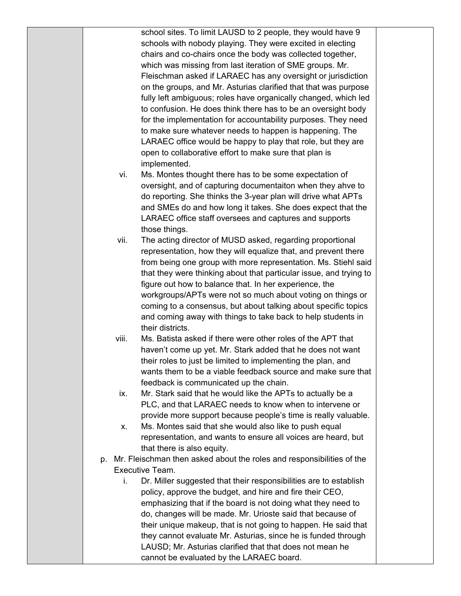school sites. To limit LAUSD to 2 people, they would have 9 schools with nobody playing. They were excited in electing chairs and co-chairs once the body was collected together, which was missing from last iteration of SME groups. Mr. Fleischman asked if LARAEC has any oversight or jurisdiction on the groups, and Mr. Asturias clarified that that was purpose fully left ambiguous; roles have organically changed, which led to confusion. He does think there has to be an oversight body for the implementation for accountability purposes. They need to make sure whatever needs to happen is happening. The LARAEC office would be happy to play that role, but they are open to collaborative effort to make sure that plan is implemented.

- vi. Ms. Montes thought there has to be some expectation of oversight, and of capturing documentaiton when they ahve to do reporting. She thinks the 3-year plan will drive what APTs and SMEs do and how long it takes. She does expect that the LARAEC office staff oversees and captures and supports those things.
- vii. The acting director of MUSD asked, regarding proportional representation, how they will equalize that, and prevent there from being one group with more representation. Ms. Stiehl said that they were thinking about that particular issue, and trying to figure out how to balance that. In her experience, the workgroups/APTs were not so much about voting on things or coming to a consensus, but about talking about specific topics and coming away with things to take back to help students in their districts.
- viii. Ms. Batista asked if there were other roles of the APT that haven't come up yet. Mr. Stark added that he does not want their roles to just be limited to implementing the plan, and wants them to be a viable feedback source and make sure that feedback is communicated up the chain.
- ix. Mr. Stark said that he would like the APTs to actually be a PLC, and that LARAEC needs to know when to intervene or provide more support because people's time is really valuable.
- x. Ms. Montes said that she would also like to push equal representation, and wants to ensure all voices are heard, but that there is also equity.
- p. Mr. Fleischman then asked about the roles and responsibilities of the Executive Team.
	- i. Dr. Miller suggested that their responsibilities are to establish policy, approve the budget, and hire and fire their CEO, emphasizing that if the board is not doing what they need to do, changes will be made. Mr. Urioste said that because of their unique makeup, that is not going to happen. He said that they cannot evaluate Mr. Asturias, since he is funded through LAUSD; Mr. Asturias clarified that that does not mean he cannot be evaluated by the LARAEC board.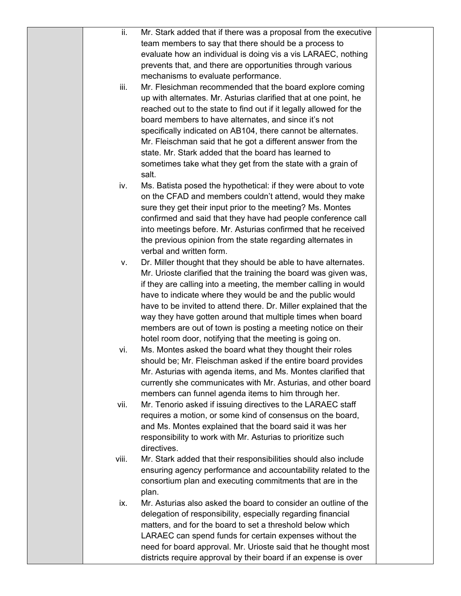| ii.   | Mr. Stark added that if there was a proposal from the executive                                                                 |  |
|-------|---------------------------------------------------------------------------------------------------------------------------------|--|
|       | team members to say that there should be a process to                                                                           |  |
|       | evaluate how an individual is doing vis a vis LARAEC, nothing                                                                   |  |
|       | prevents that, and there are opportunities through various                                                                      |  |
|       | mechanisms to evaluate performance.                                                                                             |  |
| iii.  | Mr. Flesichman recommended that the board explore coming                                                                        |  |
|       | up with alternates. Mr. Asturias clarified that at one point, he                                                                |  |
|       | reached out to the state to find out if it legally allowed for the                                                              |  |
|       | board members to have alternates, and since it's not                                                                            |  |
|       | specifically indicated on AB104, there cannot be alternates.                                                                    |  |
|       | Mr. Fleischman said that he got a different answer from the                                                                     |  |
|       | state. Mr. Stark added that the board has learned to                                                                            |  |
|       | sometimes take what they get from the state with a grain of                                                                     |  |
|       | salt.                                                                                                                           |  |
| iv.   | Ms. Batista posed the hypothetical: if they were about to vote                                                                  |  |
|       | on the CFAD and members couldn't attend, would they make                                                                        |  |
|       |                                                                                                                                 |  |
|       | sure they get their input prior to the meeting? Ms. Montes                                                                      |  |
|       | confirmed and said that they have had people conference call<br>into meetings before. Mr. Asturias confirmed that he received   |  |
|       | the previous opinion from the state regarding alternates in                                                                     |  |
|       | verbal and written form.                                                                                                        |  |
|       | Dr. Miller thought that they should be able to have alternates.                                                                 |  |
| v.    | Mr. Urioste clarified that the training the board was given was,                                                                |  |
|       | if they are calling into a meeting, the member calling in would                                                                 |  |
|       | have to indicate where they would be and the public would                                                                       |  |
|       |                                                                                                                                 |  |
|       | have to be invited to attend there. Dr. Miller explained that the<br>way they have gotten around that multiple times when board |  |
|       | members are out of town is posting a meeting notice on their                                                                    |  |
|       | hotel room door, notifying that the meeting is going on.                                                                        |  |
| vi.   | Ms. Montes asked the board what they thought their roles                                                                        |  |
|       | should be; Mr. Fleischman asked if the entire board provides                                                                    |  |
|       | Mr. Asturias with agenda items, and Ms. Montes clarified that                                                                   |  |
|       | currently she communicates with Mr. Asturias, and other board                                                                   |  |
|       | members can funnel agenda items to him through her.                                                                             |  |
| vii.  | Mr. Tenorio asked if issuing directives to the LARAEC staff                                                                     |  |
|       | requires a motion, or some kind of consensus on the board,                                                                      |  |
|       | and Ms. Montes explained that the board said it was her                                                                         |  |
|       | responsibility to work with Mr. Asturias to prioritize such                                                                     |  |
|       | directives.                                                                                                                     |  |
| viii. | Mr. Stark added that their responsibilities should also include                                                                 |  |
|       | ensuring agency performance and accountability related to the                                                                   |  |
|       | consortium plan and executing commitments that are in the                                                                       |  |
|       | plan.                                                                                                                           |  |
| ix.   | Mr. Asturias also asked the board to consider an outline of the                                                                 |  |
|       | delegation of responsibility, especially regarding financial                                                                    |  |
|       | matters, and for the board to set a threshold below which                                                                       |  |
|       | LARAEC can spend funds for certain expenses without the                                                                         |  |
|       | need for board approval. Mr. Urioste said that he thought most                                                                  |  |
|       | districts require approval by their board if an expense is over                                                                 |  |
|       |                                                                                                                                 |  |